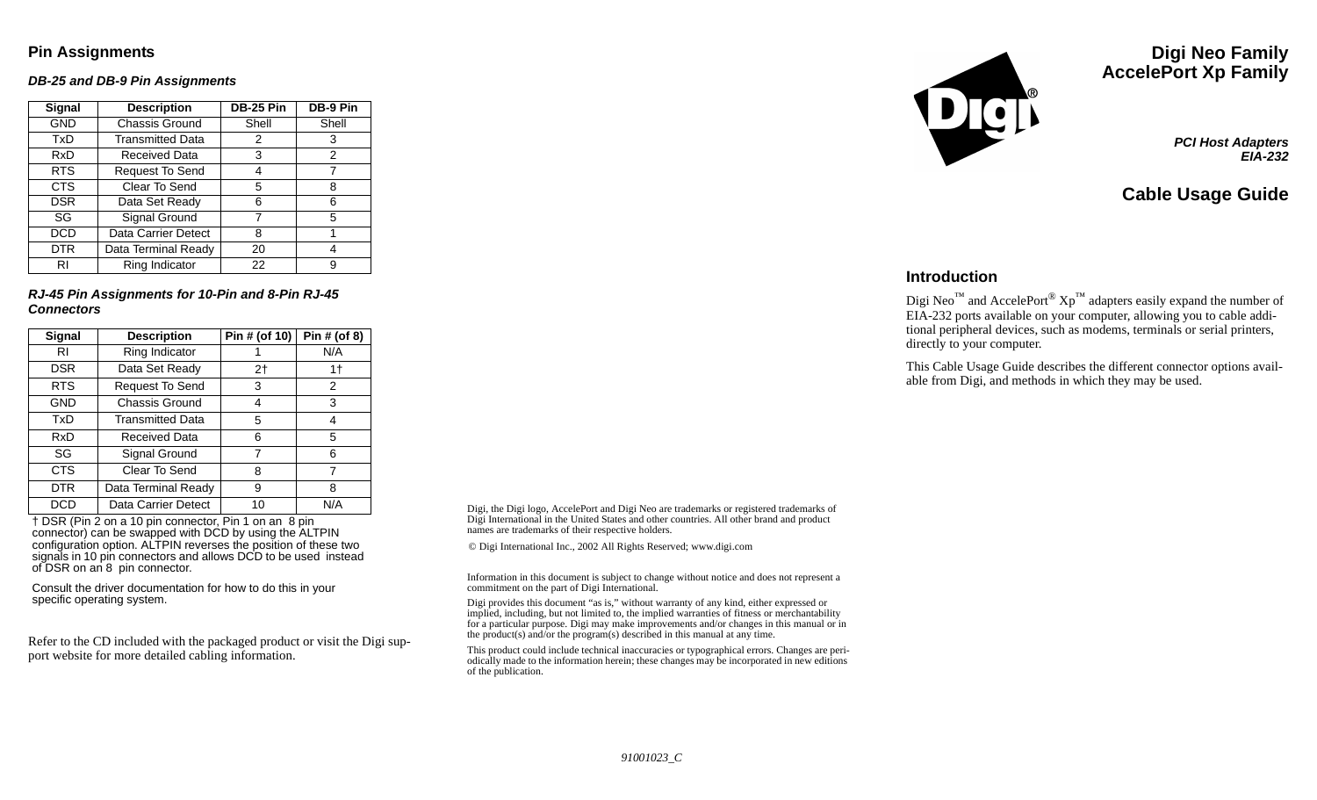### **Pin Assignments**

#### *DB-25 and DB-9 Pin Assignments*

| Signal     | <b>Description</b>      | <b>DB-25 Pin</b> | DB-9 Pin |
|------------|-------------------------|------------------|----------|
| <b>GND</b> | Chassis Ground          | Shell            | Shell    |
| TxD        | <b>Transmitted Data</b> | 2                | 3        |
| RxD        | <b>Received Data</b>    | 3                | 2        |
| <b>RTS</b> | <b>Request To Send</b>  | 4                |          |
| <b>CTS</b> | Clear To Send           | 5                | 8        |
| <b>DSR</b> | Data Set Ready          | 6                | 6        |
| SG         | Signal Ground           | 7                | 5        |
| <b>DCD</b> | Data Carrier Detect     | 8                |          |
| <b>DTR</b> | Data Terminal Ready     | 20               |          |
| RI         | Ring Indicator          | 22               | g        |

*RJ-45 Pin Assignments for 10-Pin and 8-Pin RJ-45 Connectors*

| <b>Signal</b> | <b>Description</b>      | Pin # (of 10)  | Pin # (of 8) |
|---------------|-------------------------|----------------|--------------|
| RI            | Ring Indicator          |                | N/A          |
| <b>DSR</b>    | Data Set Ready          | 2 <sub>1</sub> | 1†           |
| <b>RTS</b>    | Request To Send         | 3              | 2            |
| <b>GND</b>    | Chassis Ground          | 4              | 3            |
| TxD           | <b>Transmitted Data</b> | 5              | 4            |
| RxD           | <b>Received Data</b>    | 6              | 5            |
| SG            | Signal Ground           | 7              | 6            |
| <b>CTS</b>    | Clear To Send           | 8              | 7            |
| <b>DTR</b>    | Data Terminal Ready     | 9              | 8            |
| DCD           | Data Carrier Detect     | 10             | N/A          |

 † DSR (Pin 2 on a 10 pin connector, Pin 1 on an 8 pin connector) can be swapped with DCD by using the ALTPIN configuration option. ALTPIN reverses the position of these two signals in 10 pin connectors and allows DCD to be used instead of DSR on an 8 pin connector.

Consult the driver documentation for how to do this in your specific operating system.

Refer to the CD included with the packaged product or visit the Digi support website for more detailed cabling information.

Digi, the Digi logo, AccelePort and Digi Neo are trademarks or registered trademarks of Digi International in the United States and other countries. All other brand and product names are trademarks of their respective holders.

© Digi International Inc., 2002 All Rights Reserved; www.digi.com

Information in this document is subject to change without notice and does not represent a commitment on the part of Digi International.

Digi provides this document "as is," without warranty of any kind, either expressed or implied, including, but not limited to, the implied warranties of fitness or merchantability for a particular purpose. Digi may make improvements and/or changes in this manual or in the product(s) and/or the program(s) described in this manual at any time.

This product could include technical inaccuracies or typographical errors. Changes are periodically made to the information herein; these changes may be incorporated in new editions of the publication.



# **Digi Neo Family AccelePort Xp Family**

*PCI Host Adapters EIA-232*

**Cable Usage Guide**

#### **Introduction**

Digi Neo<sup>™</sup> and AccelePort<sup>®</sup>  $Xp^{™}$  adapters easily expand the number of EIA-232 ports available on your computer, allowing you to cable additional peripheral devices, such as modems, terminals or serial printers, directly to your computer.

This Cable Usage Guide describes the different connector options available from Digi, and methods in which they may be used.